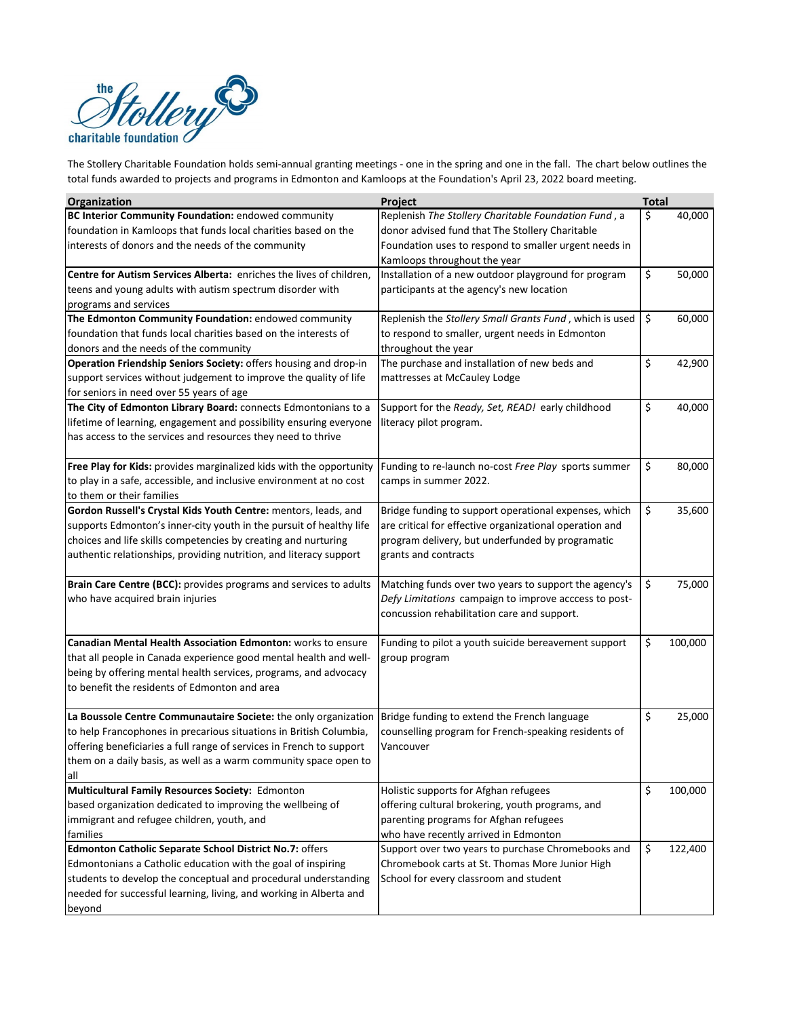

total funds awarded to projects and programs in Edmonton and Kamloops at the Foundation's April 23, 2022 board meeting.

| <b>Organization</b>                                                  | Project                                                 | <b>Total</b> |         |
|----------------------------------------------------------------------|---------------------------------------------------------|--------------|---------|
| BC Interior Community Foundation: endowed community                  | Replenish The Stollery Charitable Foundation Fund, a    | \$           | 40,000  |
| foundation in Kamloops that funds local charities based on the       | donor advised fund that The Stollery Charitable         |              |         |
| interests of donors and the needs of the community                   | Foundation uses to respond to smaller urgent needs in   |              |         |
|                                                                      | Kamloops throughout the year                            |              |         |
| Centre for Autism Services Alberta: enriches the lives of children,  | Installation of a new outdoor playground for program    | \$           | 50,000  |
| teens and young adults with autism spectrum disorder with            | participants at the agency's new location               |              |         |
| programs and services                                                |                                                         |              |         |
| The Edmonton Community Foundation: endowed community                 | Replenish the Stollery Small Grants Fund, which is used | \$           | 60,000  |
| foundation that funds local charities based on the interests of      | to respond to smaller, urgent needs in Edmonton         |              |         |
| donors and the needs of the community                                | throughout the year                                     |              |         |
| Operation Friendship Seniors Society: offers housing and drop-in     | The purchase and installation of new beds and           | \$           | 42,900  |
| support services without judgement to improve the quality of life    | mattresses at McCauley Lodge                            |              |         |
| for seniors in need over 55 years of age                             |                                                         |              |         |
| The City of Edmonton Library Board: connects Edmontonians to a       | Support for the Ready, Set, READ! early childhood       | \$           | 40,000  |
| lifetime of learning, engagement and possibility ensuring everyone   | literacy pilot program.                                 |              |         |
| has access to the services and resources they need to thrive         |                                                         |              |         |
|                                                                      |                                                         |              |         |
| Free Play for Kids: provides marginalized kids with the opportunity  | Funding to re-launch no-cost Free Play sports summer    | \$           | 80,000  |
| to play in a safe, accessible, and inclusive environment at no cost  | camps in summer 2022.                                   |              |         |
| to them or their families                                            |                                                         |              |         |
| Gordon Russell's Crystal Kids Youth Centre: mentors, leads, and      | Bridge funding to support operational expenses, which   | \$           | 35,600  |
| supports Edmonton's inner-city youth in the pursuit of healthy life  | are critical for effective organizational operation and |              |         |
| choices and life skills competencies by creating and nurturing       | program delivery, but underfunded by programatic        |              |         |
| authentic relationships, providing nutrition, and literacy support   | grants and contracts                                    |              |         |
|                                                                      |                                                         |              |         |
| Brain Care Centre (BCC): provides programs and services to adults    | Matching funds over two years to support the agency's   | \$           | 75,000  |
| who have acquired brain injuries                                     | Defy Limitations campaign to improve acccess to post-   |              |         |
|                                                                      | concussion rehabilitation care and support.             |              |         |
|                                                                      |                                                         |              |         |
| <b>Canadian Mental Health Association Edmonton:</b> works to ensure  | Funding to pilot a youth suicide bereavement support    | \$           | 100,000 |
| that all people in Canada experience good mental health and well-    | group program                                           |              |         |
| being by offering mental health services, programs, and advocacy     |                                                         |              |         |
| to benefit the residents of Edmonton and area                        |                                                         |              |         |
|                                                                      |                                                         |              |         |
| La Boussole Centre Communautaire Societe: the only organization      | Bridge funding to extend the French language            | \$           | 25,000  |
| to help Francophones in precarious situations in British Columbia,   | counselling program for French-speaking residents of    |              |         |
| offering beneficiaries a full range of services in French to support | Vancouver                                               |              |         |
| them on a daily basis, as well as a warm community space open to     |                                                         |              |         |
| all                                                                  |                                                         |              |         |
| Multicultural Family Resources Society: Edmonton                     | Holistic supports for Afghan refugees                   | \$           | 100,000 |
| based organization dedicated to improving the wellbeing of           | offering cultural brokering, youth programs, and        |              |         |
| immigrant and refugee children, youth, and                           | parenting programs for Afghan refugees                  |              |         |
| families                                                             | who have recently arrived in Edmonton                   |              |         |
| Edmonton Catholic Separate School District No.7: offers              | Support over two years to purchase Chromebooks and      | \$           | 122,400 |
| Edmontonians a Catholic education with the goal of inspiring         | Chromebook carts at St. Thomas More Junior High         |              |         |
| students to develop the conceptual and procedural understanding      | School for every classroom and student                  |              |         |
| needed for successful learning, living, and working in Alberta and   |                                                         |              |         |
| beyond                                                               |                                                         |              |         |